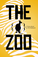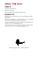# wh02 The Zoo

#### **CREDITS**

Written by Will Hindmarch

Edited by Steve Segedy

The Zoo was Playset of the Month, December 2011.

### BOILERPLATE

This playset is an accessory for the *Fiasco* role-playing game by Bully Pulpit Games.

This playset is copyright 2011 by Will Hindmarch. *Fiasco* is copyright 2009 by Jason Morningstar. All rights are reserved.

For more information about *Fiasco* or to download other playsets and materials, visit [www.bullypulpitgames.com](http://www.bullypulpitgames.com).

If you'd like to create your own playset or other *Fiasco*-related content, we'd like to help. Write us a[t info@bullypulpitgames.com.](mailto:%20info%40bullypulpitgames.com?subject=)



"When you play, play *hard*." - Theodore Roosevelt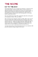# THE SCORE

#### Go to the Zoo

The Brookmarket Zoo was a world-class institution, visited by locals and travelers alike. In the late 20th century, it was an iconic zoo, admired and beloved. Its animals were content, its visitors happy, its staff respected. Chairman of the Zoo Board, D.E. Hitchcock IV, welcomed people to the grounds with beaming pride, as his father had for a generation before.

Now, D.E. Hitchcock is dead. The community takes the zoo for granted. Attendance is down. The zoo withers.

The zoo keepers grow desperate. Money is tight. Other, more successful zoos in other cities sniff around the place, looking to take away animals and staff. A proposed expansion project might drum up new interest in the zoo... if the city approves the new zoning plan. But rumors persist that a multiplex is offering more money to buy up a chunk of the zoo land, displacing animals and staff forever.

Are these the last days of the Brookmarket Zoo? Or can someone with powerful ambition change things for the better?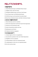# relationships...

### 1 Keepers

- $\lceil \cdot \rceil$  Small Mammals keeper and Reptile House keeper
- $\Gamma$  Dolphin trainer and seal trainer
- 3 Pachyderm Habitat keeper and Great Cats! Keeper
- $\left| \right\rangle$ : Ape Escape keeper and Monkeyland Keeper
- 5 Wolf Den keeper and Australian Excursion keeper
- **11 Rain Forest Adventure keeper and Safari Adventure keeper**

# 2 Zoo hierarchy

- $\lceil \cdot \rceil$  Board chairman and zoo custodian
- $\cdot$  Head of the department and former head of the department
- $\Gamma$  Passed over for promotions today
- $\left| \right|$  Senior Veterinarian and the new hire
- $\mathbb{E}$  Spokesperson and intern
- **11** Volunteers hired as scapegoats

## 3 Community

- $\lceil \cdot \rceil$  Animal-rights activists or sympathizers
- $\ddot{\cdot}$  Just elected to positions in the city's Parks Department
- $\overline{3}$  Neighbors to the zoo property
- $\boxed{\therefore}$  Voting members of the Zoo Community Board
- $\mathbb{E}$  Losing property in the new zoo-expansion project
- **1**: Zoo lover and zoo hater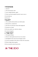#### 4 Romance

 $\lceil \cdot \rceil$  Spouses

- $\Gamma$  The nerd and the crush
- $\overline{3}$  Just a simple flirtation, right?
- $\left| \because \right|$  Want to get back together but don't want to say so
- $\mathbb{E}$  Just broke up
- **1** Divorced

## **5 ILLICIT**

- $\lceil \cdot \rceil$  The would-be thief and the one with the plan
- $\Gamma$  Betrayed by a common foe
- $\cdot$  The last two who know what really happened
- $\boxed{::}$  Partners in a fraud
- $\mathbb{F}$  The liar and the one with the evidence
- **1** Animal smugglers

### 6 The past

- $\lceil \cdot \rceil$  Estranged siblings
- $\cdot$  Haven't really spoken since the case was closed
- $\ddot{\cdot}$  Spotlighted in the same local newspaper article
- $\dddot{=}$  Last two reminders of the old zoo, before the renovations
- $\mathbb{E}$  Went to high school together
- **11** One rescued the other from the fire

# ...IN the Zoo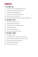# NEEDS...

### 1 TO GET IN

- $\lceil \cdot \rceil$  ... with the crew of the coolest exhibit in the zoo.
- $\Gamma$  ...to the Rain Forest Adventure after hours.
- $\ddot{\cdot}$  ...on the trip that's being planned.
- $\boxed{\therefore}$  ...with the looker on the rival exhibit staff.
- 5 …before it's too late to save the zoo.
- **11** ...to the Nocturnal House before anyone finds what's in there.

### 2 TO GET OUT

- $\cdot$  ... of the country with your prize.
- $\Gamma$  ... from under your debt to the zoo.
- 3 …from under the zoo's considerable debts.
- $\mathbb{R}$  ...with your pride intact.
- 5 …before anyone else gets wise.
- **11** ...once your favorite animal is secure.

## 3 To get away

- $\lceil \cdot \rceil$  ...with cutting corners.
- $\Gamma$  ...to a foreign country, where you can do real good.
- $\overline{3}$  ... just for a few days, maybe a week. Or even a month.
- $\mathbb{R}$  ... with your power play, in the long run.
- $\mathbb{E}$  ...by taking your show on tour.
- **11** ...to join another, better zoo.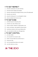### 4 To get respect

- $\lceil \cdot \rceil$  ... from the community, for a job well done.
- $\Gamma$  ... from the board, despite the mistakes.
- $\overline{3}$  ... from the International Zoological Society, who will understand.
- $\boxed{\therefore}$  ... from the one who left.
- **F.** ... from D.E. Hitchcock IV, even though he's dead.
- **11** ... from an animal, lest it turn on you.

#### 5 TO GET EVEN

- $\lceil \cdot \rceil$  ... with the board, for what they did.
- $\cdot$   $\cdot$  ... with the city, after all these years.
- $\ddot{\cdot}$  ...with an animal, whether it understands or not.
- $\left| \right|$  ...with a zoo keeper, who should've known better.
- 5 …with those monsters who let poor Buttons die.
- **11** ... in a way that the whole city will appreciate.

#### 6 To get control

- $\lceil \cdot \rceil$  ... over the exhibit.
- 2 …over yourself, for everyone's sake.
- $\ddot{\cdot}$  ... before everyone finds out you don't have it.
- $\boxed{\therefore}$  ... for just one day.
- $\mathbb{E}$  ... over an animal that refuses to be tamed.
- **11** ... over the whole zoo, at last.

# ...IN The Zoo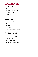# LOCATIONS...

#### 1 HABITATS

- $\lceil \cdot \rceil$  Reptile House
- $\Gamma$  Australian Excursion exhibit
- $\Gamma$  Ocean World exhibit
- $\boxed{\therefore}$  Penguin habitat
- $\mathbb{E}$  Bat cave
- **6** Grizzly habitat

### 2 GROUNDS

- $\lceil \cdot \rceil$  Funnel-cake stand
- Peacock Park
- $\boxed{\cdot}$  Fish Pond
- **1**: East Gate, locked
- $\boxed{\ddot{\cdot}}$  Under the broken security camera
- **6 Statue of zoo founder, Douglas E. Hitchcock III**

### 3 around town

- $\lceil \cdot \rceil$  City comptroller's office
- $\Gamma$  Train tunnel that runs behind the zoo
- $\overline{S}$  Town Hall meeting
- $\boxed{\therefore}$  Pre-dawn parking lot
- **F.** Rat-trap motel in Redbud Court
- **1** Jail cell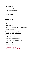#### 4 THE WILD

- $\lceil \cdot \rceil$  Australian outback
- $\Gamma$  South American rainforest
- $\overline{S}$  The veldt
- **::** Canadian Rockies
- $\mathbb{E}$  Underwater with the fishes
- $\boxed{ii}$  A desert, miles from anywhere

#### 5 AT HOME

- $\lceil \cdot \rceil$  Chairperson's house during a dinner party
- $\Gamma$  Whatever's left after the fire
- $\overline{3}$  Attic, behind the bookcase
- $\therefore$  Basement habitat nobody's supposed to know about
- $\boxed{5}$  Ill-kept, in-ground pool
- **11** Inside the old RV behind the garage

#### 6 behind the scenes

- $\lceil \cdot \rceil$  Inside the zoo's veterinary clinic
- $\Gamma$  Walk-in refrigerator full of lion food
- $\overline{3}$  Steam tunnels under the zoo grounds
- **1.** ... of the Rain Forest Adventure exhibit
- 5 …at the Small Mammal House
- **11** ... of the House of Birds

# ...at the zoo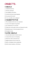# OBJECTS...

#### 1 animals

- $\lceil \cdot \rceil$  Underfed male lion
- $\Gamma$  Peacock, poisoned
- $\overline{S}$  Star dolphin of the show
- **1** Gorilla who knows sign language
- $\mathbb{E}$  One pissed-off ostrich
- **Fi** "It's a crocodile, not an alligator."

## 2 ADMINISTRATIVE

- 1 The *real* plans for the new zoo expansion
- $\Gamma$  Lease to the original zoo grounds
- 3 D.E. Hitchcock IV's Last Will
- $\therefore$  Flash drive with copies of the zoo's financial records
- $\mathbb{R}$  Bad photocopy of a lawsuit against the zoo
- **1** Smudged receipt

### 3 more animals

- $\lceil \cdot \rceil$  Second-oldest koala in North America
- $\Gamma$  Lioness that seems to be sleeping
- $\Gamma$  Polar bear with an electronic tag
- $\mathbb{R}$  Biggest python in the tri-state area
- $\mathbb{E}$  Betsy, an elephant with a paintbrush
- **Fill Half-a-dozen monkeys, all riled up**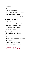#### 4 **SECRET**

- $\lceil \cdot \rceil$  Forged credentials
- $\Gamma$  Drunken voicemail message
- $\ddot{\cdot}$  Endangered animal, not where it should be
- $\boxed{::}$  One animal passed off as another
- $\mathbb{E}$  Video of an expedition that didn't go as planned
- **1** Ruined uniform

#### 5 lost and found

- $\lceil \cdot \rceil$  Wallet with a fake ID
- $\cdot$  Large wax sculpture of a leaping dolphin
- $\ddot{\cdot}$  Animal's toy, not where it should be
- $\boxed{\therefore}$  Camera full of incriminating photos
- $\mathbb{E}$  Keys on a broken chain
- $\left| \right|$  An empty cage

#### 6 still more animals

- $\lceil \cdot \rceil$  Dennis, a king cobra
- $\Gamma$  Ill-trained raptor without its hood
- $\ddot{\cdot}$  Beloved kangaroo, promised to a different zoo
- $\boxed{::}$  A fish worth \$120,000
- $\mathbb{E}$  Live mice meant for the Reptile House
- **11** Lenny and Marcus, giraffes on loan

# ...at the zoo